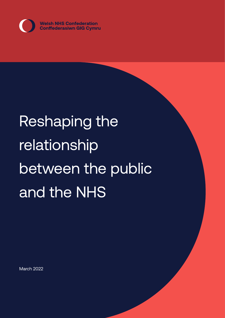

# Reshaping the relationship between the public and the NHS

March 2022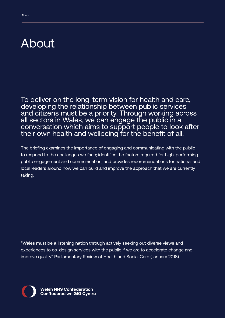### About

To deliver on the long-term vision for health and care, developing the relationship between public services and citizens must be a priority. Through working across all sectors in Wales, we can engage the public in a conversation which aims to support people to look after their own health and wellbeing for the benefit of all.

The briefing examines the importance of engaging and communicating with the public to respond to the challenges we face; identifies the factors required for high-performing public engagement and communication; and provides recommendations for national and local leaders around how we can build and improve the approach that we are currently taking.

"Wales must be a listening nation through actively seeking out diverse views and experiences to co-design services with the public if we are to accelerate change and improve quality" Parliamentary Review of Health and Social Care (January 2018)

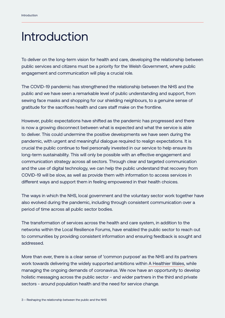# Introduction

To deliver on the long-term vision for health and care, developing the relationship between public services and citizens must be a priority for the Welsh Government, where public engagement and communication will play a crucial role.

The COVID-19 pandemic has strengthened the relationship between the NHS and the public and we have seen a remarkable level of public understanding and support, from sewing face masks and shopping for our shielding neighbours, to a genuine sense of gratitude for the sacrifices health and care staff make on the frontline.

However, public expectations have shifted as the pandemic has progressed and there is now a growing disconnect between what is expected and what the service is able to deliver. This could undermine the positive developments we have seen during the pandemic, with urgent and meaningful dialogue required to realign expectations. It is crucial the public continue to feel personally invested in our service to help ensure its long-term sustainability. This will only be possible with an effective engagement and communication strategy across all sectors. Through clear and targeted communication and the use of digital technology, we can help the public understand that recovery from COVID-19 will be slow, as well as provide them with information to access services in different ways and support them in feeling empowered in their health choices.

The ways in which the NHS, local government and the voluntary sector work together have also evolved during the pandemic, including through consistent communication over a period of time across all public sector bodies.

The transformation of services across the health and care system, in addition to the networks within the Local Resilience Forums, have enabled the public sector to reach out to communities by providing consistent information and ensuring feedback is sought and addressed.

More than ever, there is a clear sense of 'common purpose' as the NHS and its partners work towards delivering the widely supported ambitions within [A Healthier Wales](https://gov.wales/healthier-wales-long-term-plan-health-and-social-care), while managing the ongoing demands of coronavirus. We now have an opportunity to develop holistic messaging across the public sector - and wider partners in the third and private sectors - around population health and the need for service change.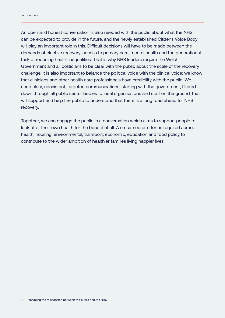An open and honest conversation is also needed with the public about what the NHS can be expected to provide in the future, and the newly established [Citizens Voice Body](https://gov.wales/citizen-voice-body-health-and-social-care) will play an important role in this. Difficult decisions will have to be made between the demands of elective recovery, access to primary care, mental health and the generational task of reducing health inequalities. That is why NHS leaders require the Welsh Government and all politicians to be clear with the public about the scale of the recovery challenge. It is also important to balance the political voice with the clinical voice: we know that clinicians and other health care professionals have credibility with the public. We need clear, consistent, targeted communications, starting with the government, filtered down through all public sector bodies to local organisations and staff on the ground, that will support and help the public to understand that there is a long road ahead for NHS recovery.

Together, we can engage the public in a conversation which aims to support people to look after their own health for the benefit of all. A cross-sector effort is required across health, housing, environmental, transport, economic, education and food policy to contribute to the wider ambition of healthier families living happier lives.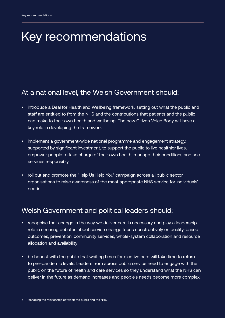# Key recommendations

#### At a national level, the Welsh Government should:

- introduce a Deal for Health and Wellbeing framework, setting out what the public and staff are entitled to from the NHS and the contributions that patients and the public can make to their own health and wellbeing. The new Citizen Voice Body will have a key role in developing the framework
- implement a government-wide national programme and engagement strategy, supported by significant investment, to support the public to live healthier lives, empower people to take charge of their own health, manage their conditions and use services responsibly
- roll out and promote the 'Help Us Help You' campaign across all public sector organisations to raise awareness of the most appropriate NHS service for individuals' needs.

#### Welsh Government and political leaders should:

- recognise that change in the way we deliver care is necessary and play a leadership role in ensuring debates about service change focus constructively on quality-based outcomes, prevention, community services, whole-system collaboration and resource allocation and availability
- be honest with the public that waiting times for elective care will take time to return to pre-pandemic levels. Leaders from across public service need to engage with the public on the future of health and care services so they understand what the NHS can deliver in the future as demand increases and people's needs become more complex.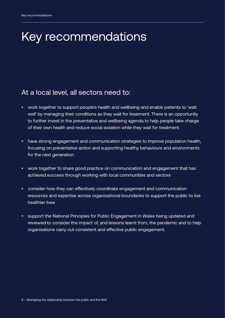# Key recommendations

#### At a local level, all sectors need to:

- work together to support people's health and wellbeing and enable patients to 'wait well' by managing their conditions as they wait for treatment. There is an opportunity to further invest in the preventative and wellbeing agenda to help people take charge of their own health and reduce social isolation while they wait for treatment
- have strong engagement and communication strategies to improve population health, focusing on preventative action and supporting healthy behaviours and environments for the next generation
- work together to share good practice on communication and engagement that has achieved success through working with local communities and sectors
- consider how they can effectively coordinate engagement and communication resources and expertise across organisational boundaries to support the public to live healthier lives
- support the National Principles for Public Engagement in Wales being updated and reviewed to consider the impact of, and lessons learnt from, the pandemic and to help organisations carry out consistent and effective public engagement.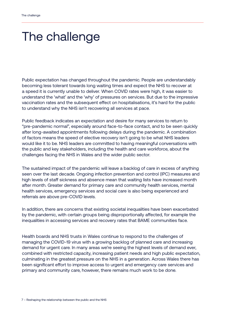### The challenge

Public expectation has changed throughout the pandemic. People are understandably becoming less tolerant towards long waiting times and expect the NHS to recover at a speed it is currently unable to deliver. When COVID rates were high, it was easier to understand the 'what' and the 'why' of pressures on services. But due to the impressive vaccination rates and the subsequent effect on hospitalisations, it's hard for the public to understand why the NHS isn't recovering all services at pace.

Public feedback indicates an expectation and desire for many services to return to "pre-pandemic normal", especially around face-to-face contact, and to be seen quickly after long-awaited appointments following delays during the pandemic. A combination of factors means the speed of elective recovery isn't going to be what NHS leaders would like it to be. NHS leaders are committed to having meaningful conversations with the public and key stakeholders, including the health and care workforce, about the challenges facing the NHS in Wales and the wider public sector.

The sustained impact of the pandemic will leave a backlog of care in excess of anything seen over the last decade. Ongoing infection prevention and control (IPC) measures and high levels of staff sickness and absence mean that waiting lists have increased month after month. Greater demand for primary care and community health services, mental health services, emergency services and social care is also being experienced and referrals are above pre-COVID levels.

In addition, there are concerns that existing societal inequalities have been exacerbated by the pandemic, with certain groups being disproportionally affected, for example the inequalities in accessing services and recovery rates that BAME communities face.

Health boards and NHS trusts in Wales continue to respond to the challenges of managing the COVID-19 virus with a growing backlog of planned care and increasing demand for urgent care. In many areas we're seeing the highest levels of demand ever, combined with restricted capacity, increasing patient needs and high public expectation, culminating in the greatest pressure on the NHS in a generation. Across Wales there has been significant effort to improve access to urgent and emergency care services and primary and community care, however, there remains much work to be done.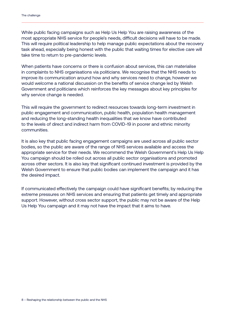While public facing campaigns such as Help Us Help You are raising awareness of the most appropriate NHS service for people's needs, difficult decisions will have to be made. This will require political leadership to help manage public expectations about the recovery task ahead, especially being honest with the public that waiting times for elective care will take time to return to pre-pandemic levels.

When patients have concerns or there is confusion about services, this can materialise in complaints to NHS organisations via politicians. We recognise that the NHS needs to improve its communication around how and why services need to change, however we would welcome a national discussion on the benefits of service change led by Welsh Government and politicians which reinforces the key messages about key principles for why service change is needed.

This will require the government to redirect resources towards long-term investment in public engagement and communication, public health, population health management and reducing the long-standing health inequalities that we know have contributed to the levels of direct and indirect harm from COVID-19 in poorer and ethnic minority communities.

It is also key that public facing engagement campaigns are used across all public sector bodies, so the public are aware of the range of NHS services available and access the appropriate service for their needs. We recommend the Welsh Government's Help Us Help You campaign should be rolled out across all public sector organisations and promoted across other sectors. It is also key that significant continued investment is provided by the Welsh Government to ensure that public bodies can implement the campaign and it has the desired impact.

If communicated effectively the campaign could have significant benefits; by reducing the extreme pressures on NHS services and ensuring that patients get timely and appropriate support. However, without cross sector support, the public may not be aware of the Help Us Help You campaign and it may not have the impact that it aims to have.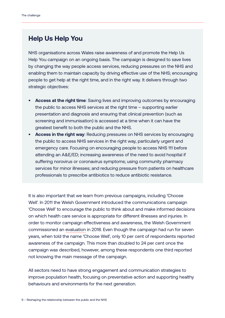#### **Help Us Help You**

NHS organisations across Wales raise awareness of and promote the Help Us Help You campaign on an ongoing basis. The campaign is designed to save lives by changing the way people access services, reducing pressures on the NHS and enabling them to maintain capacity by driving effective use of the NHS; encouraging people to get help at the right time, and in the right way. It delivers through two strategic objectives:

- **• Access at the right time**: Saving lives and improving outcomes by encouraging the public to access NHS services at the right time – supporting earlier presentation and diagnosis and ensuring that clinical prevention (such as screening and immunisation) is accessed at a time when it can have the greatest benefit to both the public and the NHS.
- **• Access in the right way**: Reducing pressures on NHS services by encouraging the public to access NHS services in the right way, particularly urgent and emergency care. Focusing on encouraging people to access NHS 111 before attending an A&E/ED; increasing awareness of the need to avoid hospital if suffering norovirus or coronavirus symptoms; using community pharmacy services for minor illnesses; and reducing pressure from patients on healthcare professionals to prescribe antibiotics to reduce antibiotic resistance.

It is also important that we learn from previous campaigns, including 'Choose Well'. In 2011 the Welsh Government introduced the communications campaign 'Choose Well' to encourage the public to think about and make informed decisions on which health care service is appropriate for different illnesses and injuries. In order to monitor campaign effectiveness and awareness, the Welsh Government commissioned an [evaluation](https://gov.wales/sites/default/files/statistics-and-research/2019-06/180314-awareness-choose-well-campaign-en.pdf) in 2018. Even though the campaign had run for seven years, when told the name 'Choose Well', only 10 per cent of respondents reported awareness of the campaign. This more than doubled to 24 per cent once the campaign was described, however, among these respondents one third reported not knowing the main message of the campaign.

All sectors need to have strong engagement and communication strategies to improve population health, focusing on preventative action and supporting healthy behaviours and environments for the next generation.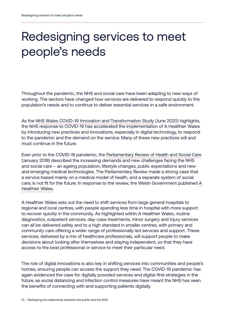# Redesigning services to meet people's needs

Throughout the pandemic, the NHS and social care have been adapting to new ways of working. The sectors have changed how services are delivered to respond quickly to the population's needs and to continue to deliver essential services in a safe environment.

As the [NHS Wales COVID-19 Innovation and Transformation Study](https://www.nhsconfed.org/publications/nhs-wales-covid-19-innovation-and-transformation-study-report) (June 2020) highlights, the NHS response to COVID-19 has accelerated the implementation of A Healthier Wales by introducing new practices and innovations, especially in digital technology, to respond to the pandemic and the demand on the service. Many of these new practices will and must continue in the future.

Even prior to the COVID-19 pandemic, the [Parliamentary Review of Health and Social Care](https://gov.wales/sites/default/files/publications/2018-01/Review-health-social-care-report-final.pdf) (January 2018) described the increasing demands and new challenges facing the NHS and social care – an ageing population, lifestyle changes, public expectations and new and emerging medical technologies. The Parliamentary Review made a strong case that a service based mainly on a medical model of health, and a separate system of social care, is not fit for the future. In response to the review, the Welsh Government published [A](https://gov.wales/healthier-wales-long-term-plan-health-and-social-care)  [Healthier Wales.](https://gov.wales/healthier-wales-long-term-plan-health-and-social-care)

A Healthier Wales sets out the need to shift services from large general hospitals to regional and local centres, with people spending less time in hospital with more support to recover quickly in the community. As highlighted within A Healthier Wales, routine diagnostics, outpatient services, day-case treatments, minor surgery and injury services can all be delivered safely and to a high standard in smaller centres, with primary and community care offering a wider range of professionally led services and support. These services, delivered by a mix of healthcare professionals, will support people to make decisions about looking after themselves and staying independent, so that they have access to the best professional or service to meet their particular need.

The role of digital innovations is also key in shifting services into communities and people's homes, ensuring people can access the support they need. The COVID-19 pandemic has again evidenced the case for digitally provided services and digital-first strategies in the future, as social distancing and infection control measures have meant the NHS has seen the benefits of connecting with and supporting patients digitally.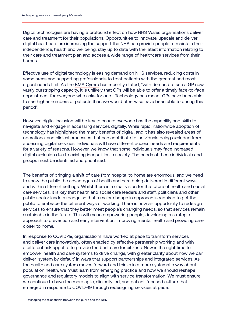Digital technologies are having a profound effect on how NHS Wales organisations deliver care and treatment for their populations. Opportunities to innovate, upscale and deliver digital healthcare are increasing the support the NHS can provide people to maintain their independence, health and wellbeing, stay up to date with the latest information relating to their care and treatment plan and access a wide range of healthcare services from their homes.

Effective use of digital technology is easing demand on NHS services, reducing costs in some areas and supporting professionals to treat patients with the greatest and most urgent needs first. As the [BMA Cymru](https://www.bma.org.uk/news-and-opinion/urgent-support-needed-for-general-practice) has recently stated; "with demand to see a GP now vastly outstripping capacity, it is unlikely that GPs will be able to offer a timely face-to-face appointment for everyone who asks for one... Technology has meant GPs have been able to see higher numbers of patients than we would otherwise have been able to during this period".

However, digital inclusion will be key to ensure everyone has the capability and skills to navigate and engage in accessing services digitally. While rapid, nationwide adoption of technology has highlighted the many benefits of digital, and it has also revealed areas of operational and clinical processes that can contribute to individuals being excluded from accessing digital services. Individuals will have different access needs and requirements for a variety of reasons. However, we know that some individuals may face increased digital exclusion due to existing inequalities in society. The needs of these individuals and groups must be identified and prioritised.

The benefits of bringing a shift of care from hospital to home are enormous, and we need to show the public the advantages of health and care being delivered in different ways and within different settings. Whilst there is a clear vision for the future of health and social care services, it is key that health and social care leaders and staff, politicians and other public sector leaders recognise that a major change in approach is required to get the public to embrace the different ways of working. There is now an opportunity to redesign services to ensure that they better meet people's changing needs, so that services remain sustainable in the future. This will mean empowering people, developing a strategic approach to prevention and early intervention, improving mental health and providing care closer to home.

In response to COVID-19, organisations have worked at pace to transform services and deliver care innovatively, often enabled by effective partnership working and with a different risk appetite to provide the best care for citizens. Now is the right time to empower health and care systems to drive change, with greater clarity about how we can deliver 'system by default' in ways that support partnerships and integrated services. As the health and care system moves forward and thinks in a more systematic way about population health, we must learn from emerging practice and how we should reshape governance and regulatory models to align with service transformation. We must ensure we continue to have the more agile, clinically led, and patient-focused culture that emerged in response to COVID-19 through redesigning services at pace.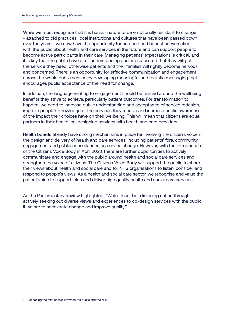While we must recognise that it is human nature to be emotionally resistant to change - attached to old practices, local institutions and cultures that have been passed down over the years - we now have the opportunity for an open and honest conversation with the public about health and care services in the future and can support people to become active participants in their care. Managing patients' expectations is critical, and it is key that the public have a full understanding and are reassured that they will get the service they need, otherwise patients and their families will rightly become nervous and concerned. There is an opportunity for effective communication and engagement across the whole public service by developing meaningful and realistic messaging that encourages public acceptance of the need for change.

In addition, the language relating to engagement should be framed around the wellbeing benefits they strive to achieve, particularly patient outcomes. For transformation to happen, we need to increase public understanding and acceptance of service redesign, improve people's knowledge of the services they receive and increase public awareness of the impact their choices have on their wellbeing. This will mean that citizens are equal partners in their health, co-designing services with health and care providers.

Health boards already have strong mechanisms in place for involving the citizen's voice in the design and delivery of health and care services, including patients' fora, community engagement and public consultations on service change. However, with the introduction of the Citizens Voice Body in April 2023, there are further opportunities to actively communicate and engage with the public around health and social care services and strengthen the voice of citizens. The Citizens Voice Body will support the public to share their views about health and social care and for NHS organisations to listen, consider and respond to people's views. As a health and social care sector, we recognise and value the patient voice to support, plan and deliver high quality health and social care services.

As the Parliamentary Review highlighted, "Wales must be a listening nation through actively seeking out diverse views and experiences to co-design services with the public if we are to accelerate change and improve quality."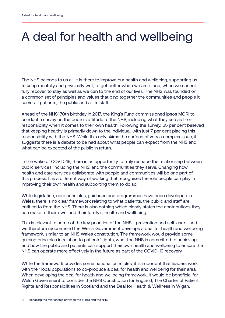# A deal for health and wellbeing

The NHS belongs to us all. It is there to improve our health and wellbeing, supporting us to keep mentally and physically well, to get better when we are ill and, when we cannot fully recover, to stay as well as we can to the end of our lives. The NHS was founded on a common set of principles and values that bind together the communities and people it serves – patients, the public and all its staff.

Ahead of the NHS' 70th birthday in 2017, the [King's Fund](https://www.kingsfund.org.uk/publications/what-does-public-think-about-nhs) commissioned Ipsos MORI to conduct a survey on the public's attitude to the NHS, including what they see as their responsibility when it comes to their own health. Following the survey, 65 per cent believed that keeping healthy is primarily down to the individual, with just 7 per cent placing this responsibility with the NHS. While this only skims the surface of very a complex issue, it suggests there is a debate to be had about what people can expect from the NHS and what can be expected of the public in return.

In the wake of COVID-19, there is an opportunity to truly reshape the relationship between public services, including the NHS, and the communities they serve. Changing how health and care services collaborate with people and communities will be one part of this process. It is a different way of working that recognises the role people can play in improving their own health and supporting them to do so.

While [legislation](https://www.legislation.gov.uk/cy/ukpga/2006/42/contents?lang=en), [core principles,](https://www.wales.nhs.uk/nhswalesaboutus/thecoreprinciplesofnhswales) [guidance](https://gov.wales/prudent-healthcare) and [programmes](https://vbhc.nhs.wales/) have been developed in Wales, there is no clear framework relating to what patients, the public and staff are entitled to from the NHS. There is also nothing which clearly states the contributions they can make to their own, and their family's, health and wellbeing.

This is relevant to some of the key priorities of the NHS - prevention and self-care - and we therefore recommend the Welsh Government develops a deal for health and wellbeing framework, similar to an NHS Wales constitution. The framework would provide some guiding principles in relation to patients' rights, what the NHS is committed to achieving and how the public and patients can support their own health and wellbeing to ensure the NHS can operate more effectively in the future as part of the COVID-19 recovery.

While the framework provides some national principles, it is important that leaders work with their local populations to co-produce a deal for health and wellbeing for their area. When developing the deal for health and wellbeing framework, it would be beneficial for Welsh Government to consider the NHS Constitution for [England](https://www.gov.uk/government/publications/the-nhs-constitution-for-england/the-nhs-constitution-for-england), The Charter of Patient Rights and Responsibilities in [Scotland](https://www.gov.scot/publications/charter-patient-rights-responsibilities-2/) and the Deal for Health & Wellness in [Wigan](https://www.wigan.gov.uk/Council/The-Deal/Our-Deals/The-Deal-for-Health-and-Wellness.aspx).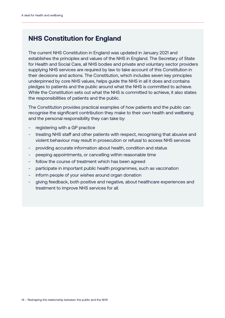#### **NHS Constitution for England**

The current NHS Constitution in England was updated in January 2021 and establishes the principles and values of the NHS in England. The Secretary of State for Health and Social Care, all NHS bodies and private and voluntary sector providers supplying NHS services are required by law to take account of this Constitution in their decisions and actions. The Constitution, which includes seven key principles underpinned by core NHS values, helps guide the NHS in all it does and contains pledges to patients and the public around what the NHS is committed to achieve. While the Constitution sets out what the NHS is committed to achieve, it also states the responsibilities of patients and the public.

The Constitution provides practical examples of how patients and the public can recognise the significant contribution they make to their own health and wellbeing and the personal responsibility they can take by:

- registering with a GP practice
- treating NHS staff and other patients with respect, recognising that abusive and violent behaviour may result in prosecution or refusal to access NHS services
- providing accurate information about health, condition and status
- peeping appointments, or cancelling within reasonable time
- follow the course of treatment which has been agreed
- participate in important public health programmes, such as vaccination
- inform people of your wishes around organ donation
- giving feedback, both positive and negative, about healthcare experiences and treatment to improve NHS services for all.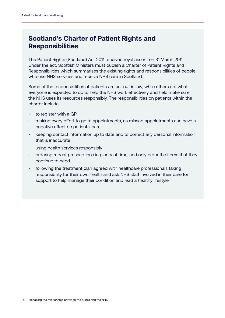#### **Scotland's Charter of Patient Rights and Responsibilities**

The Patient Rights (Scotland) Act 2011 received royal assent on 31 March 2011. Under the act, Scottish Ministers must publish a Charter of Patient Rights and Responsibilities which summarises the existing rights and responsibilities of people who use NHS services and receive NHS care in Scotland.

Some of the responsibilities of patients are set out in law, while others are what everyone is expected to do to help the NHS work effectively and help make sure the NHS uses its resources responsibly. The responsibilities on patients within the charter include:

- to register with a GP
- making every effort to go to appointments, as missed appointments can have a negative effect on patients' care
- keeping contact information up to date and to correct any personal information that is inaccurate
- using health services responsibly
- ordering repeat prescriptions in plenty of time, and only order the items that they continue to need
- following the treatment plan agreed with healthcare professionals taking responsibility for their own health and ask NHS staff involved in their care for support to help manage their condition and lead a healthy lifestyle.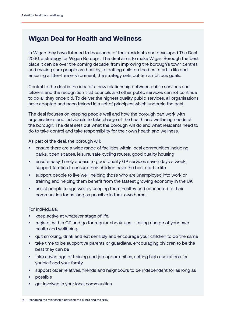#### **Wigan Deal for Health and Wellness**

In Wigan they have listened to thousands of their residents and developed The Deal 2030, a strategy for Wigan Borough. The deal aims to make Wigan Borough the best place it can be over the coming decade, from improving the borough's town centres and making sure people are healthy, to getting children the best start in life and ensuring a litter-free environment, the strategy sets out ten ambitious goals.

Central to the deal is the idea of a new relationship between public services and citizens and the recognition that councils and other public services cannot continue to do all they once did. To deliver the highest quality public services, all organisations have adopted and been trained in a set of principles which underpin the deal.

The deal focuses on keeping people well and how the borough can work with organisations and individuals to take charge of the health and wellbeing needs of the borough. The deal sets out what the borough will do and what residents need to do to take control and take responsibility for their own health and wellness.

As part of the deal, the borough will:

- ensure there are a wide range of facilities within local communities including parks, open spaces, leisure, safe cycling routes, good quality housing
- ensure easy, timely access to good quality GP services seven days a week, support families to ensure their children have the best start in life
- support people to live well, helping those who are unemployed into work or training and helping them benefit from the fastest growing economy in the UK
- assist people to age well by keeping them healthy and connected to their communities for as long as possible in their own home.

For individuals:

- keep active at whatever stage of life.
- register with a GP and go for regular check-ups taking charge of your own health and wellbeing.
- quit smoking, drink and eat sensibly and encourage your children to do the same
- take time to be supportive parents or guardians, encouraging children to be the best they can be
- take advantage of training and job opportunities, setting high aspirations for yourself and your family
- support older relatives, friends and neighbours to be independent for as long as
- possible
- get involved in your local communities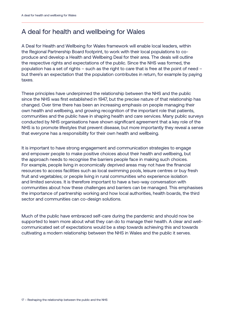#### A deal for health and wellbeing for Wales

A Deal for Health and Wellbeing for Wales framework will enable local leaders, within the Regional Partnership Board footprint, to work with their local populations to coproduce and develop a Health and Wellbeing Deal for their area. The deals will outline the respective rights and expectations of the public. Since the NHS was formed, the population has a set of rights – such as the right to care that is free at the point of need – but there's an expectation that the population contributes in return, for example by paying taxes.

These principles have underpinned the relationship between the NHS and the public since the NHS was first established in 1947, but the precise nature of that relationship has changed. Over time there has been an increasing emphasis on people managing their own health and wellbeing, and growing recognition of the important role that patients, communities and the public have in shaping health and care services. Many public surveys conducted by NHS organisations have shown significant agreement that a key role of the NHS is to promote lifestyles that prevent disease, but more importantly they reveal a sense that everyone has a responsibility for their own health and wellbeing.

It is important to have strong engagement and communication strategies to engage and empower people to make positive choices about their health and wellbeing, but the approach needs to recognise the barriers people face in making such choices. For example, people living in economically deprived areas may not have the financial resources to access facilities such as local swimming pools, leisure centres or buy fresh fruit and vegetables; or people living in rural communities who experience isolation and limited services. It is therefore important to have a two-way conversation with communities about how these challenges and barriers can be managed. This emphasises the importance of partnership working and how local authorities, health boards, the third sector and communities can co-design solutions.

Much of the public have embraced self-care during the pandemic and should now be supported to learn more about what they can do to manage their health. A clear and wellcommunicated set of expectations would be a step towards achieving this and towards cultivating a modern relationship between the NHS in Wales and the public it serves.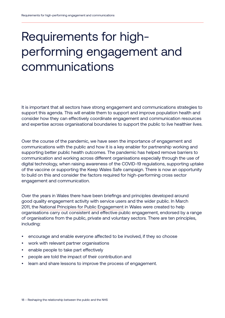# Requirements for highperforming engagement and communications

It is important that all sectors have strong engagement and communications strategies to support this agenda. This will enable them to support and improve population health and consider how they can effectively coordinate engagement and communication resources and expertise across organisational boundaries to support the public to live healthier lives.

Over the course of the pandemic, we have seen the importance of engagement and communications with the public and how it is a key enabler for partnership working and supporting better public health outcomes. The pandemic has helped remove barriers to communication and working across different organisations especially through the use of digital technology, when raising awareness of the COVID-19 regulations, supporting uptake of the vaccine or supporting the Keep Wales Safe campaign. There is now an opportunity to build on this and consider the factors required for high-performing cross sector engagement and communication.

Over the years in Wales there have been briefings and principles developed around good quality engagement activity with service users and the wider public. In March 2011, the [National Principles for Public Engagement](https://wcva.cymru/influencing/engagement/) in Wales were created to help organisations carry out consistent and effective public engagement, endorsed by a range of organisations from the public, private and voluntary sectors. There are ten principles, including:

- encourage and enable everyone affected to be involved, if they so choose
- work with relevant partner organisations
- enable people to take part effectively
- people are told the impact of their contribution and
- learn and share lessons to improve the process of engagement.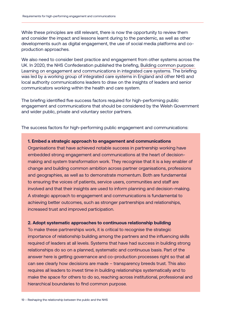While these principles are still relevant, there is now the opportunity to review them and consider the impact and lessons learnt during to the pandemic, as well as other developments such as digital engagement, the use of social media platforms and coproduction approaches.

We also need to consider best practice and engagement from other systems across the UK. In 2020, the NHS Confederation published the briefing, [Building common purpose:](https://www.nhsconfed.org/sites/default/files/media/Building%20common%20purpose_FNL.pdf)  [Learning on engagement and communications in integrated care systems.](https://www.nhsconfed.org/sites/default/files/media/Building%20common%20purpose_FNL.pdf) The briefing was led by a working group of integrated care systems in England and other NHS and local authority communications leaders to draw on the insights of leaders and senior communicators working within the health and care system.

The briefing identified five success factors required for high-performing public engagement and communications that should be considered by the Welsh Government and wider public, private and voluntary sector partners.

The success factors for high-performing public engagement and communications:

#### **1. Embed a strategic approach to engagement and communications**

Organisations that have achieved notable success in partnership working have embedded strong engagement and communications at the heart of decisionmaking and system transformation work. They recognise that it is a key enabler of change and building common ambition across partner organisations, professions and geographies, as well as to demonstrate momentum. Both are fundamental to ensuring the voices of patients, service users, communities and staff are involved and that their insights are used to inform planning and decision-making. A strategic approach to engagement and communications is fundamental to achieving better outcomes, such as stronger partnerships and relationships, increased trust and improved participation.

#### **2. Adopt systematic approaches to continuous relationship building**

To make these partnerships work, it is critical to recognise the strategic importance of relationship building among the partners and the influencing skills required of leaders at all levels. Systems that have had success in building strong relationships do so on a planned, systematic and continuous basis. Part of the answer here is getting governance and co-production processes right so that all can see clearly how decisions are made – transparency breeds trust. This also requires all leaders to invest time in building relationships systematically and to make the space for others to do so, reaching across institutional, professional and hierarchical boundaries to find common purpose.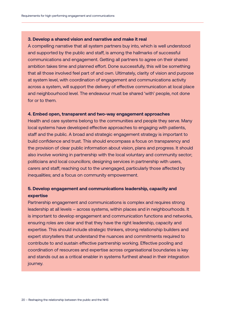#### **3. Develop a shared vision and narrative and make it real**

A compelling narrative that all system partners buy into, which is well understood and supported by the public and staff, is among the hallmarks of successful communications and engagement. Getting all partners to agree on their shared ambition takes time and planned effort. Done successfully, this will be something that all those involved feel part of and own. Ultimately, clarity of vision and purpose at system level, with coordination of engagement and communications activity across a system, will support the delivery of effective communication at local place and neighbourhood level. The endeavour must be shared 'with' people, not done for or to them.

#### **4. Embed open, transparent and two-way engagement approaches**

Health and care systems belong to the communities and people they serve. Many local systems have developed effective approaches to engaging with patients, staff and the public. A broad and strategic engagement strategy is important to build confidence and trust. This should encompass a focus on transparency and the provision of clear public information about vision, plans and progress. It should also involve working in partnership with the local voluntary and community sector; politicians and local councillors; designing services in partnership with users, carers and staff; reaching out to the unengaged, particularly those affected by inequalities; and a focus on community empowerment.

#### **5. Develop engagement and communications leadership, capacity and expertise**

Partnership engagement and communications is complex and requires strong leadership at all levels – across systems, within places and in neighbourhoods. It is important to develop engagement and communication functions and networks, ensuring roles are clear and that they have the right leadership, capacity and expertise. This should include strategic thinkers, strong relationship builders and expert storytellers that understand the nuances and commitments required to contribute to and sustain effective partnership working. Effective pooling and coordination of resources and expertise across organisational boundaries is key and stands out as a critical enabler in systems furthest ahead in their integration journey.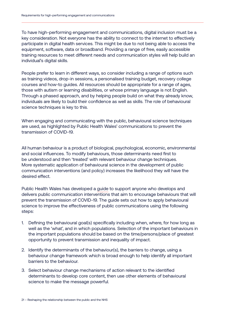To have high-performing engagement and communications, digital inclusion must be a key consideration. Not everyone has the ability to connect to the internet to effectively participate in digital health services. This might be due to not being able to access the equipment, software, data or broadband. Providing a range of free, easily accessible training resources to meet different needs and communication styles will help build an individual's digital skills.

People prefer to learn in different ways, so consider including a range of options such as training videos, drop-in sessions, a personalised training budget, recovery college courses and how-to guides. All resources should be appropriate for a range of ages, those with autism or learning disabilities, or whose primary language is not English. Through a phased approach, and by helping people build on what they already know, individuals are likely to build their confidence as well as skills. The role of behavioural science techniques is key to this.

When engaging and communicating with the public, behavioural science techniques are used, as highlighted by Public Health Wales' communications to prevent the transmission of COVID-19.

All human behaviour is a product of biological, psychological, economic, environmental and social influences. To modify behaviours, those determinants need first to be understood and then 'treated' with relevant behaviour change techniques. More systematic application of behavioural science in the development of public communication interventions (and policy) increases the likelihood they will have the desired effect.

Public Health Wales has developed a [guide](https://phw.nhs.wales/topics/latest-information-on-novel-coronavirus-covid-19/educational-and-childcare-settings/sup-015-behavioural-science-in-public-comms-guide/ ) to support anyone who develops and delivers public communication interventions that aim to encourage behaviours that will prevent the transmission of COVID-19. The guide sets out how to apply behavioural science to improve the effectiveness of public communications using the following steps:

- 1. Defining the behavioural goal(s) specifically including when, where, for how long as well as the 'what', and in which populations. Selection of the important behaviours in the important populations should be based on the time/persons/place of greatest opportunity to prevent transmission and inequality of impact.
- 2. Identify the determinants of the behaviour(s), the barriers to change, using a behaviour change framework which is broad enough to help identify all important barriers to the behaviour.
- 3. Select behaviour change mechanisms of action relevant to the identified determinants to develop core content, then use other elements of behavioural science to make the message powerful.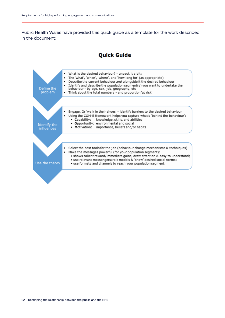Public Health Wales have provided this quick guide as a template for the work described in the document:

#### **Quick Guide**

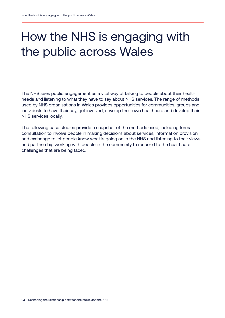# How the NHS is engaging with the public across Wales

The NHS sees public engagement as a vital way of talking to people about their health needs and listening to what they have to say about NHS services. The range of methods used by NHS organisations in Wales provides opportunities for communities, groups and individuals to have their say, get involved, develop their own healthcare and develop their NHS services locally.

The following case studies provide a snapshot of the methods used, including formal consultation to involve people in making decisions about services; information provision and exchange to let people know what is going on in the NHS and listening to their views; and partnership working with people in the community to respond to the healthcare challenges that are being faced.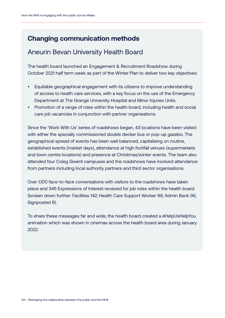#### **Changing communication methods**

#### Aneurin Bevan University Health Board

The health board launched an Engagement & Recruitment Roadshow during October 2021 half term week as part of the Winter Plan to deliver two key objectives:

- Equitable geographical engagement with its citizens to improve understanding of access to health care services, with a key focus on the use of the Emergency Department at The Grange University Hospital and Minor Injuries Units.
- Promotion of a range of roles within the health board, including health and social care job vacancies in conjunction with partner organisations.

Since the 'Work With Us' series of roadshows began, 43 locations have been visited with either the specially commissioned double decker bus or pop-up gazebo. The geographical spread of events has been well balanced, capitalising on routine, established events (market days), attendance at high footfall venues (supermarkets and town centre locations) and presence at Christmas/winter events. The team also attended four Coleg Gwent campuses and the roadshows have involved attendance from partners including local authority partners and third sector organisations.

Over 1,100 face-to-face conversations with visitors to the roadshows have taken place and 345 Expressions of Interest received for job roles within the health board (broken down further: Facilities 142; Health Care Support Worker 99; Admin Bank 96, Signposted 8).

To share these messages far and wide, the health board created a #HelpUsHelpYou animation which was shown in cinemas across the health board area during January 2022.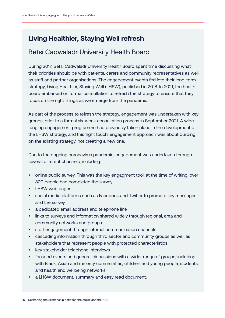### **Living Healthier, Staying Well refresh**

#### Betsi Cadwaladr University Health Board

During 2017, Betsi Cadwaladr University Health Board spent time discussing what their priorities should be with patients, carers and community representatives as well as staff and partner organisations. The engagement events fed into their long-term strategy, [Living Healthier, Staying Well](https://bcuhb.nhs.wales/lhsw/living-healthier-staying-well1/) (LHSW), published in 2018. In 2021, the health board embarked on formal consultation to refresh the strategy to ensure that they focus on the right things as we emerge from the pandemic.

As part of the process to refresh the strategy, engagement was undertaken with key groups, prior to a formal six-week consultation process in September 2021. A wideranging engagement programme had previously taken place in the development of the LHSW strategy, and this 'light touch' engagement approach was about building on the existing strategy, not creating a new one.

Due to the ongoing coronavirus pandemic, engagement was undertaken through several different channels, including:

- online public survey. This was the key engagment tool; at the time of writing, over 300 people had completed the survey
- [LHSW web pages](https://bcuhb.nhs.wales/lhsw/living-healthier-staying-well1/)
- social media platforms such as Facebook and Twitter to promote key messages and the survey
- a dedicated email address and telephone line
- links to surveys and information shared widely through regional, area and community networks and groups
- staff engagement through internal communication channels
- cascading information through third sector and community groups as well as stakeholders that represent people with protected characteristics
- key stakeholder telephone interviews
- focused events and general discussions with a wider range of groups, including with Black, Asian and minority communities, children and young people, students, and health and wellbeing networks
- a LHSW document, summary and easy read document.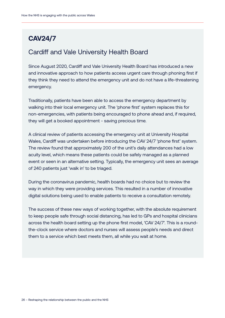### **CAV24/7**

#### Cardiff and Vale University Health Board

Since August 2020, Cardiff and Vale University Health Board has introduced a new and innovative approach to how patients access urgent care through phoning first if they think they need to attend the emergency unit and do not have a life-threatening emergency.

Traditionally, patients have been able to access the emergency department by walking into their local emergency unit. The 'phone first' system replaces this for non-emergencies, with patients being encouraged to phone ahead and, if required, they will get a booked appointment - saving precious time.

A clinical review of patients accessing the emergency unit at University Hospital Wales, Cardiff was undertaken before introducing the CAV 24/7 'phone first' system. The review found that approximately 200 of the unit's daily attendances had a low acuity level, which means these patients could be safely managed as a planned event or seen in an alternative setting. Typically, the emergency unit sees an average of 240 patients just 'walk in' to be triaged.

During the coronavirus pandemic, health boards had no choice but to review the way in which they were providing services. This resulted in a number of innovative digital solutions being used to enable patients to receive a consultation remotely.

The success of these new ways of working together, with the absolute requirement to keep people safe through social distancing, has led to GPs and hospital clinicians across the health board setting up the phone first model, 'CAV 24/7'. This is a roundthe-clock service where doctors and nurses will assess people's needs and direct them to a service which best meets them, all while you wait at home.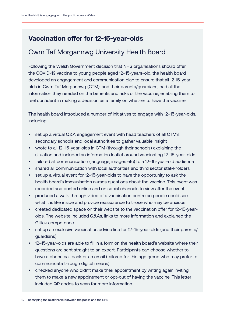### **Vaccination offer for 12-15-year-olds**

#### Cwm Taf Morgannwg University Health Board

Following the Welsh Government decision that NHS organisations should offer the COVID-19 vaccine to young people aged 12–15-years-old, the health board developed an engagement and communication plan to ensure that all 12-15-yearolds in Cwm Taf Morgannwg (CTM), and their parents/guardians, had all the information they needed on the benefits and risks of the vaccine, enabling them to feel confident in making a decision as a family on whether to have the vaccine.

The health board introduced a number of initiatives to engage with 12–15-year-olds, including:

- set up a virtual Q&A engagement event with head teachers of all CTM's secondary schools and local authorities to gather valuable insight
- wrote to all 12–15-year-olds in CTM (through their schools) explaining the situation and included an information leaflet around vaccinating 12–15-year-olds.
- tailored all communication (language, images etc) to a 12–15-year-old audience
- shared all communication with local authorities and third sector stakeholders
- set up a virtual event for 12–15-year-olds to have the opportunity to ask the health board's immunisation nurses questions about the vaccine. This event was recorded and posted online and on social channels to view after the event.
- produced a walk-through video of a vaccination centre so people could see what it is like inside and provide reassurance to those who may be anxious
- created dedicated space on their website to the vaccination offer for 12–15-yearolds. The website included Q&As, links to more information and explained the Gillick competence
- set up an exclusive vaccination advice line for 12-15-year-olds (and their parents/ guardians)
- 12–15-year-olds are able to fill in a form on the health board's website where their questions are sent straight to an expert. Participants can choose whether to have a phone call back or an email (tailored for this age group who may prefer to communicate through digital means)
- checked anyone who didn't make their appointment by writing again inviting them to make a new appointment or opt-out of having the vaccine. This letter included QR codes to scan for more information.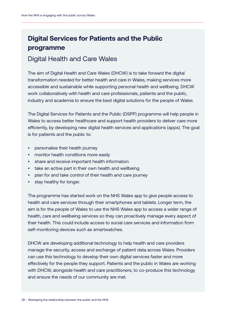### **Digital Services for Patients and the Public programme**

#### Digital Health and Care Wales

The aim of Digital Health and Care Wales (DHCW) is to take forward the digital transformation needed for better health and care in Wales, making services more accessible and sustainable while supporting personal health and wellbeing. DHCW work collaboratively with health and care professionals, patients and the public, industry and academia to ensure the best digital solutions for the people of Wales.

The Digital Services for Patients and the Public (DSPP) programme will help people in Wales to access better healthcare and support health providers to deliver care more efficiently, by developing new digital health services and applications (apps). The goal is for patients and the public to:

- personalise their health journey
- monitor health conditions more easily
- share and receive important health information
- take an active part in their own health and wellbeing
- plan for and take control of their health and care journey
- stay healthy for longer.

The programme has started work on the NHS Wales app to give people access to health and care services through their smartphones and tablets. Longer term, the aim is for the people of Wales to use the NHS Wales app to access a wider range of health, care and wellbeing services so they can proactively manage every aspect of their health. This could include access to social care services and information from self-monitoring devices such as smartwatches.

DHCW are developing additional technology to help health and care providers manage the security, access and exchange of patient data across Wales. Providers can use this technology to develop their own digital services faster and more effectively for the people they support. Patients and the public in Wales are working with DHCW, alongside health and care practitioners, to co-produce this technology and ensure the needs of our community are met.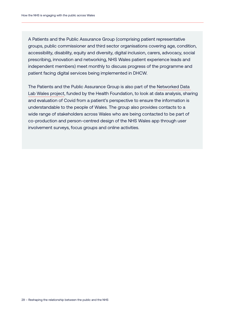A Patients and the Public Assurance Group (comprising patient representative groups, public commissioner and third sector organisations covering age, condition, accessibility, disability, equity and diversity, digital inclusion, carers, advocacy, social prescribing, innovation and networking, NHS Wales patient experience leads and independent members) meet monthly to discuss progress of the programme and patient facing digital services being implemented in DHCW.

The Patients and the Public Assurance Group is also part of the [Networked Data](https://www.health.org.uk/funding-and-partnerships/our-partnerships/the-networked-data-lab)  [Lab Wales project](https://www.health.org.uk/funding-and-partnerships/our-partnerships/the-networked-data-lab), funded by the Health Foundation, to look at data analysis, sharing and evaluation of Covid from a patient's perspective to ensure the information is understandable to the people of Wales. The group also provides contacts to a wide range of stakeholders across Wales who are being contacted to be part of co-production and person-centred design of the NHS Wales app through user involvement surveys, focus groups and online activities.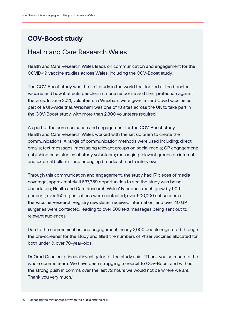#### **COV-Boost study**

#### Health and Care Research Wales

Health and Care Research Wales leads on communication and engagement for the COVID-19 vaccine studies across Wales, including the COV-Boost study.

The COV-Boost study was the first study in the world that looked at the booster vaccine and how it affects people's immune response and their protection against the virus. In June 2021, volunteers in Wrexham were given a third Covid vaccine as part of a UK-wide trial. Wrexham was one of 18 sites across the UK to take part in the COV-Boost study, with more than 2,800 volunteers required.

As part of the communication and engagement for the COV-Boost study, Health and Care Research Wales worked with the set up team to create the communications. A range of communication methods were used including: direct emails; text messages; messaging relevant groups on social media; GP engagement; publishing case studies of study volunteers; messaging relevant groups on internal and external bulletins; and arranging broadcast media interviews.

Through this communication and engagement, the study had 17 pieces of media coverage; approximately 11,637,359 opportunities to see the study was being undertaken; Health and Care Research Wales' Facebook reach grew by 909 per cent; over 150 organisations were contacted; over 500,000 subscribers of the Vaccine Research Registry newsletter received information; and over 40 GP surgeries were contacted, leading to over 500 text messages being sent out to relevant audiences.

Due to the communication and engagement, nearly 2,000 people registered through the pre-screener for the study and filled the numbers of Pfizer vaccines allocated for both under & over 70-year-olds.

Dr Orod Osanlou, principal investigator for the study said: "Thank you so much to the whole comms team. We have been struggling to recruit to COV-Boost and without the strong push in comms over the last 72 hours we would not be where we are. Thank you very much."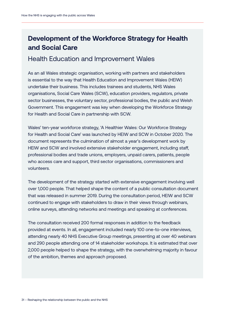### **Development of the Workforce Strategy for Health and Social Care**

#### Health Education and Improvement Wales

As an all Wales strategic organisation, working with partners and stakeholders is essential to the way that Health Education and Improvement Wales (HEIW) undertake their business. This includes trainees and students, NHS Wales organisations, Social Care Wales (SCW), education providers, regulators, private sector businesses, the voluntary sector, professional bodies, the public and Welsh Government. This engagement was key when developing the Workforce Strategy for Health and Social Care in partnership with SCW.

Wales' ten-year workforce strategy, 'A Healthier Wales: Our Workforce Strategy for Health and Social Care' was launched by HEIW and SCW in October 2020. The document represents the culmination of almost a year's development work by HEIW and SCW and involved extensive stakeholder engagement, including staff, professional bodies and trade unions, employers, unpaid carers, patients, people who access care and support, third sector organisations, commissioners and volunteers.

The development of the strategy started with extensive engagement involving well over 1,000 people. That helped shape the content of a public consultation document that was released in summer 2019. During the consultation period, HEIW and SCW continued to engage with stakeholders to draw in their views through webinars, online surveys, attending networks and meetings and speaking at conferences.

The consultation received 200 formal responses in addition to the feedback provided at events. In all, engagement included nearly 100 one-to-one interviews, attending nearly 40 NHS Executive Group meetings, presenting at over 40 webinars and 290 people attending one of 14 stakeholder workshops. It is estimated that over 2,000 people helped to shape the strategy, with the overwhelming majority in favour of the ambition, themes and approach proposed.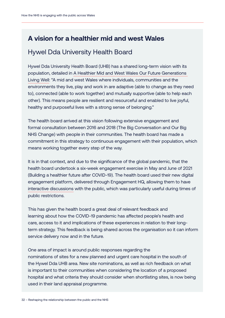#### **A vision for a healthier mid and west Wales**

#### Hywel Dda University Health Board

Hywel Dda University Health Board (UHB) has a shared long-term vision with its population, detailed in [A Healthier Mid and West Wales](https://hduhb.nhs.wales/about-us/healthier-mid-and-west-wales/healthier-mid-and-west-wales-folder/documents/a-healthier-mid-and-west-wales-strategy/) Our Future Generations [Living Well:](https://hduhb.nhs.wales/about-us/healthier-mid-and-west-wales/healthier-mid-and-west-wales-folder/documents/a-healthier-mid-and-west-wales-strategy/) "A mid and west Wales where individuals, communities and the environments they live, play and work in are adaptive (able to change as they need to), connected (able to work together) and mutually supportive (able to help each other). This means people are resilient and resourceful and enabled to live joyful, healthy and purposeful lives with a strong sense of belonging."

The health board arrived at this vision following extensive engagement and formal consultation between 2016 and 2018 (The Big Conversation and Our Big NHS Change) with people in their communities. The health board has made a commitment in this strategy to continuous engagement with their population, which means working together every step of the way.

It is in that context, and due to the significance of the global pandemic, that the health board undertook a six-week engagement exercise in May and June of 2021 (Building a healthier future after COVID-19). The health board used their new digital engagement platform, delivered through Engagement HQ, allowing them to have [interactive discussions](https://www.haveyoursay.hduhb.wales.nhs.uk/) with the public, which was particularly useful during times of public restrictions.

This has given the health board a great deal of relevant feedback and learning about how the COVID-19 pandemic has affected people's health and care, access to it and implications of these experiences in relation to their longterm strategy. This feedback is being shared across the organisation so it can inform service delivery now and in the future.

One area of impact is around public responses regarding the nominations of sites for a new planned and urgent care hospital in the south of the Hywel Dda UHB area. New site nominations, as well as rich feedback on what is important to their communities when considering the location of a proposed hospital and what criteria they should consider when shortlisting sites, is now being used in their land appraisal programme.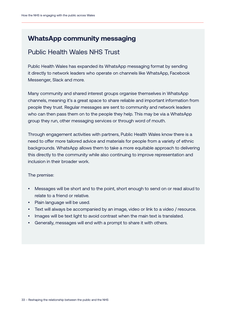#### **WhatsApp community messaging**

#### Public Health Wales NHS Trust

Public Health Wales has expanded its WhatsApp messaging format by sending it directly to network leaders who operate on channels like WhatsApp, Facebook Messenger, Slack and more.

Many community and shared interest groups organise themselves in WhatsApp channels, meaning it's a great space to share reliable and important information from people they trust. Regular messages are sent to community and network leaders who can then pass them on to the people they help. This may be via a WhatsApp group they run, other messaging services or through word of mouth.

Through engagement activities with partners, Public Health Wales know there is a need to offer more tailored advice and materials for people from a variety of ethnic backgrounds. WhatsApp allows them to take a more equitable approach to delivering this directly to the community while also continuing to improve representation and inclusion in their broader work.

The premise:

- Messages will be short and to the point, short enough to send on or read aloud to relate to a friend or relative.
- Plain language will be used.
- Text will always be accompanied by an image, video or link to a video / resource.
- Images will be text light to avoid contrast when the main text is translated.
- Generally, messages will end with a prompt to share it with others.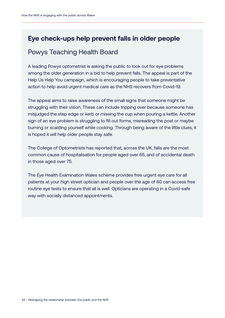#### **Eye check-ups help prevent falls in older people**

#### Powys Teaching Health Board

A leading Powys optometrist is asking the public to look out for eye problems among the older generation in a bid to help prevent falls. The appeal is part of the Help Us Help You campaign, which is encouraging people to take preventative action to help avoid urgent medical care as the NHS recovers from Covid-19.

The appeal aims to raise awareness of the small signs that someone might be struggling with their vision. These can include tripping over because someone has misjudged the step edge or kerb or missing the cup when pouring a kettle. Another sign of an eye problem is struggling to fill out forms, misreading the post or maybe burning or scalding yourself while cooking. Through being aware of the little clues, it is hoped it will help older people stay safe.

The College of Optometrists has reported that, across the UK, falls are the most common cause of hospitalisation for people aged over 65, and of accidental death in those aged over 75.

The Eye Health Examination Wales scheme provides free urgent eye care for all patients at your high street optician and people over the age of 60 can access free routine eye tests to ensure that all is well. Opticians are operating in a Covid-safe way with socially distanced appointments.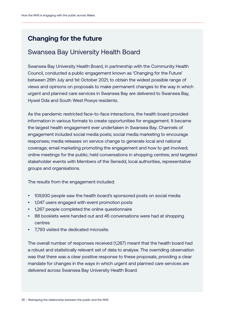#### **Changing for the future**

#### Swansea Bay University Health Board

Swansea Bay University Health Board, in partnership with the Community Health Council, conducted a public engagement known as 'Changing for the Future' between 26th July and 1st October 2021, to obtain the widest possible range of views and opinions on proposals to make permanent changes to the way in which urgent and planned care services in Swansea Bay are delivered to Swansea Bay, Hywel Dda and South West Powys residents.

As the pandemic restricted face-to-face interactions, the health board provided information in various formats to create opportunities for engagement. It became the largest health engagement ever undertaken in Swansea Bay. Channels of engagement included social media posts; social media marketing to encourage responses; media releases on service change to generate local and national coverage; email marketing promoting the engagement and how to get involved; online meetings for the public; held conversations in shopping centres; and targeted stakeholder events with Members of the Senedd, local authorities, representative groups and organisations.

The results from the engagement included:

- 109,930 people saw the health board's sponsored posts on social media
- 1,047 users engaged with event promotion posts
- 1,267 people completed the online questionnaire
- 88 booklets were handed out and 45 conversations were had at shopping centres
- 7,793 visited the dedicated microsite.

The overall number of responses received (1,267) meant that the health board had a robust and statistically relevant set of data to analyse. The overriding observation was that there was a clear positive response to these proposals, providing a clear mandate for changes in the ways in which urgent and planned care services are delivered across Swansea Bay University Health Board.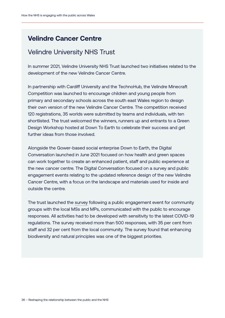#### **Velindre Cancer Centre**

#### Velindre University NHS Trust

In summer 2021, Velindre University NHS Trust launched two initiatives related to the development of the new Velindre Cancer Centre.

In partnership with Cardiff University and the TechnoHub, the Velindre Minecraft Competition was launched to encourage children and young people from primary and secondary schools across the south east Wales region to design their own version of the new Velindre Cancer Centre. The competition received 120 registrations, 35 worlds were submitted by teams and individuals, with ten shortlisted. The trust welcomed the winners, runners up and entrants to a Green Design Workshop hosted at Down To Earth to celebrate their success and get further ideas from those involved.

Alongside the Gower-based social enterprise Down to Earth, the Digital Conversation launched in June 2021 focused on how health and green spaces can work together to create an enhanced patient, staff and public experience at the new cancer centre. The Digital Conversation focused on a survey and public engagement events relating to the updated reference design of the new Velindre Cancer Centre, with a focus on the landscape and materials used for inside and outside the centre.

The trust launched the [survey](https://velindre.nhs.wales/news/latest-news/survey-finds-biodiversity-an-integral-aspect-of-new-velindre-cancer-centre/) following a public engagement event for community groups with the local MSs and MPs, communicated with the public to encourage responses. All activities had to be developed with sensitivity to the latest COVID-19 regulations. The survey received more than 500 responses, with 35 per cent from staff and 32 per cent from the local community. The survey found that enhancing biodiversity and natural principles was one of the biggest priorities.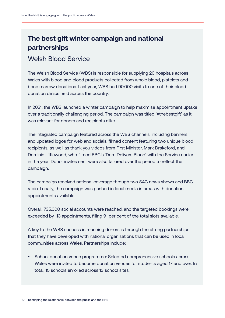### **The best gift winter campaign and national partnerships**

#### Welsh Blood Service

The Welsh Blood Service (WBS) is responsible for supplying 20 hospitals across Wales with blood and blood products collected from whole blood, platelets and bone marrow donations. Last year, WBS had 90,000 visits to one of their blood donation clinics held across the country.

In 2021, the WBS launched a winter campaign to help maximise appointment uptake over a traditionally challenging period. The campaign was titled '#thebestgift' as it was relevant for donors and recipients alike.

The integrated campaign featured across the WBS channels, including banners and updated logos for web and socials, filmed content featuring two unique blood recipients, as well as thank you videos from First Minister, Mark Drakeford, and Dominic Littlewood, who filmed BBC's 'Dom Delivers Blood' with the Service earlier in the year. Donor invites sent were also tailored over the period to reflect the campaign.

The campaign received national coverage through two S4C news shows and BBC radio. Locally, the campaign was pushed in local media in areas with donation appointments available.

Overall, 735,000 social accounts were reached, and the targeted bookings were exceeded by 113 appointments, filling 91 per cent of the total slots available.

A key to the WBS success in reaching donors is through the strong partnerships that they have developed with national organisations that can be used in local communities across Wales. Partnerships include:

• School donation venue programme: Selected comprehensive schools across Wales were invited to become donation venues for students aged 17 and over. In total, 15 schools enrolled across 13 school sites.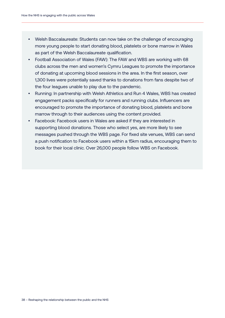- Welsh Baccalaureate: Students can now take on the challenge of encouraging more young people to start donating blood, platelets or bone marrow in Wales as part of the Welsh Baccalaureate qualification.
- Football Association of Wales (FAW): The FAW and WBS are working with 68 clubs across the men and women's Cymru Leagues to promote the importance of donating at upcoming blood sessions in the area. In the first season, over 1,300 lives were potentially saved thanks to donations from fans despite two of the four leagues unable to play due to the pandemic.
- Running: In partnership with Welsh Athletics and Run 4 Wales, WBS has created engagement packs specifically for runners and running clubs. Influencers are encouraged to promote the importance of donating blood, platelets and bone marrow through to their audiences using the content provided.
- Facebook: Facebook users in Wales are asked if they are interested in supporting blood donations. Those who select yes, are more likely to see messages pushed through the WBS page. For fixed site venues, WBS can send a push notification to Facebook users within a 15km radius, encouraging them to book for their local clinic. Over 26,000 people follow WBS on Facebook.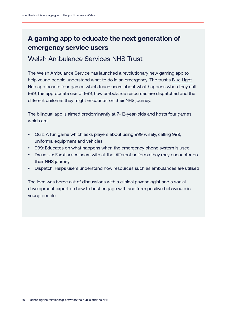### **A gaming app to educate the next generation of emergency service users**

#### Welsh Ambulance Services NHS Trust

The Welsh Ambulance Service has launched a revolutionary new gaming app to help young people understand what to do in an emergency. The trust's [Blue Light](https://play.google.com/store/apps/details?id=com.WelshAmbulance.BlueLightHub&hl=en_GB&gl=US)  [Hub app](https://play.google.com/store/apps/details?id=com.WelshAmbulance.BlueLightHub&hl=en_GB&gl=US) boasts four games which teach users about what happens when they call 999, the appropriate use of 999, how ambulance resources are dispatched and the different uniforms they might encounter on their NHS journey.

The bilingual app is aimed predominantly at 7–12-year-olds and hosts four games which are:

- Quiz: A fun game which asks players about using 999 wisely, calling 999, uniforms, equipment and vehicles
- 999: Educates on what happens when the emergency phone system is used
- Dress Up: Familiarises users with all the different uniforms they may encounter on their NHS journey
- Dispatch: Helps users understand how resources such as ambulances are utilised

The idea was borne out of discussions with a clinical psychologist and a social development expert on how to best engage with and form positive behaviours in young people.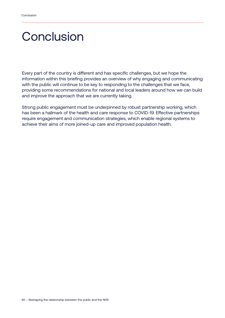### **Conclusion**

Every part of the country is different and has specific challenges, but we hope the information within this briefing provides an overview of why engaging and communicating with the public will continue to be key to responding to the challenges that we face, providing some recommendations for national and local leaders around how we can build and improve the approach that we are currently taking.

Strong public engagement must be underpinned by robust partnership working, which has been a hallmark of the health and care response to COVID-19. Effective partnerships require engagement and communication strategies, which enable regional systems to achieve their aims of more joined-up care and improved population health.